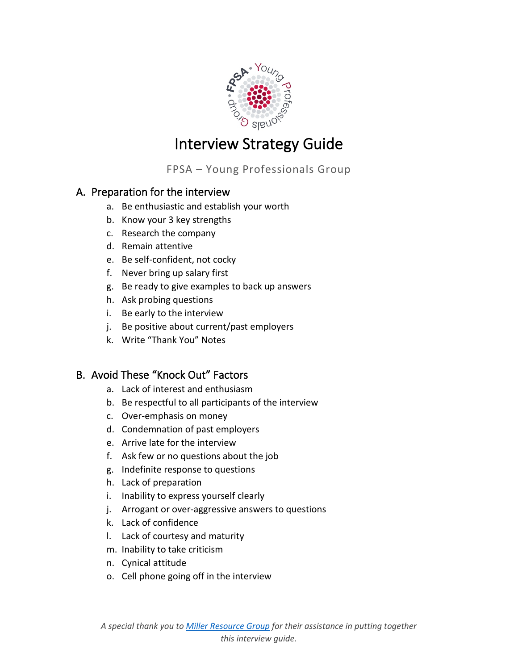

# Interview Strategy Guide

FPSA – Young Professionals Group

# A. Preparation for the interview

- a. Be enthusiastic and establish your worth
- b. Know your 3 key strengths
- c. Research the company
- d. Remain attentive
- e. Be self-confident, not cocky
- f. Never bring up salary first
- g. Be ready to give examples to back up answers
- h. Ask probing questions
- i. Be early to the interview
- j. Be positive about current/past employers
- k. Write "Thank You" Notes

# B. Avoid These "Knock Out" Factors

- a. Lack of interest and enthusiasm
- b. Be respectful to all participants of the interview
- c. Over-emphasis on money
- d. Condemnation of past employers
- e. Arrive late for the interview
- f. Ask few or no questions about the job
- g. Indefinite response to questions
- h. Lack of preparation
- i. Inability to express yourself clearly
- j. Arrogant or over-aggressive answers to questions
- k. Lack of confidence
- l. Lack of courtesy and maturity
- m. Inability to take criticism
- n. Cynical attitude
- o. Cell phone going off in the interview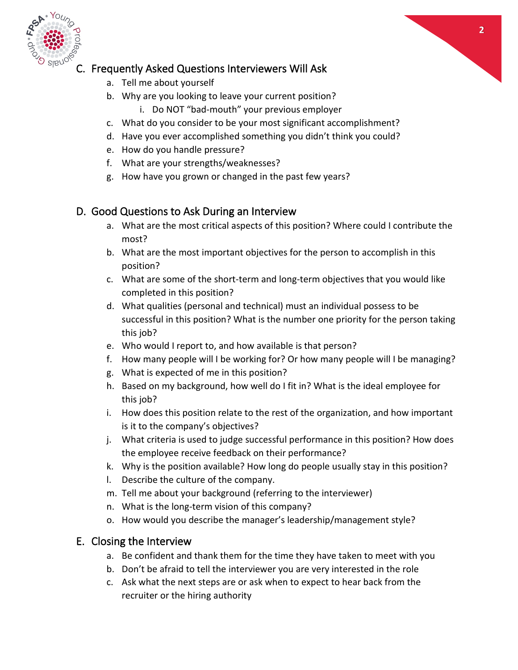



### C. Frequently Asked Questions Interviewers Will Ask

- a. Tell me about yourself
- b. Why are you looking to leave your current position?
	- i. Do NOT "bad-mouth" your previous employer
- c. What do you consider to be your most significant accomplishment?
- d. Have you ever accomplished something you didn't think you could?
- e. How do you handle pressure?
- f. What are your strengths/weaknesses?
- g. How have you grown or changed in the past few years?

#### D. Good Questions to Ask During an Interview

- a. What are the most critical aspects of this position? Where could I contribute the most?
- b. What are the most important objectives for the person to accomplish in this position?
- c. What are some of the short-term and long-term objectives that you would like completed in this position?
- d. What qualities (personal and technical) must an individual possess to be successful in this position? What is the number one priority for the person taking this job?
- e. Who would I report to, and how available is that person?
- f. How many people will I be working for? Or how many people will I be managing?
- g. What is expected of me in this position?
- h. Based on my background, how well do I fit in? What is the ideal employee for this job?
- i. How does this position relate to the rest of the organization, and how important is it to the company's objectives?
- j. What criteria is used to judge successful performance in this position? How does the employee receive feedback on their performance?
- k. Why is the position available? How long do people usually stay in this position?
- l. Describe the culture of the company.
- m. Tell me about your background (referring to the interviewer)
- n. What is the long-term vision of this company?
- o. How would you describe the manager's leadership/management style?

#### E. Closing the Interview

- a. Be confident and thank them for the time they have taken to meet with you
- b. Don't be afraid to tell the interviewer you are very interested in the role
- c. Ask what the next steps are or ask when to expect to hear back from the recruiter or the hiring authority